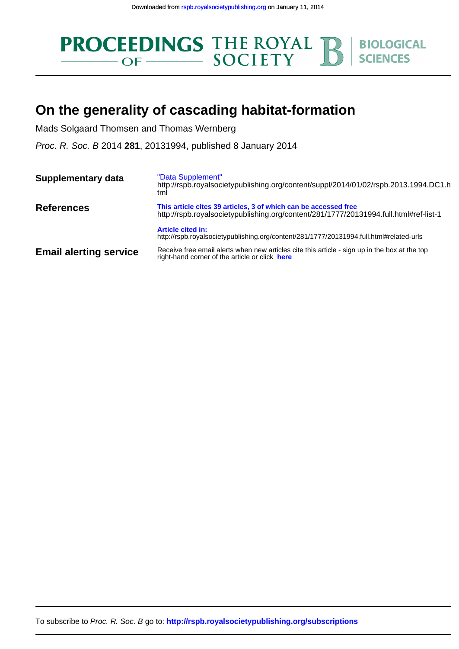

## **On the generality of cascading habitat-formation**

Mads Solgaard Thomsen and Thomas Wernberg

Proc. R. Soc. B 2014 **281**, 20131994, published 8 January 2014

| Supplementary data            | "Data Supplement"<br>http://rspb.royalsocietypublishing.org/content/suppl/2014/01/02/rspb.2013.1994.DC1.h<br>tml                                         |
|-------------------------------|----------------------------------------------------------------------------------------------------------------------------------------------------------|
| <b>References</b>             | This article cites 39 articles, 3 of which can be accessed free<br>http://rspb.royalsocietypublishing.org/content/281/1777/20131994.full.html#ref-list-1 |
|                               | <b>Article cited in:</b><br>http://rspb.royalsocietypublishing.org/content/281/1777/20131994.full.html#related-urls                                      |
| <b>Email alerting service</b> | Receive free email alerts when new articles cite this article - sign up in the box at the top<br>right-hand corner of the article or click here          |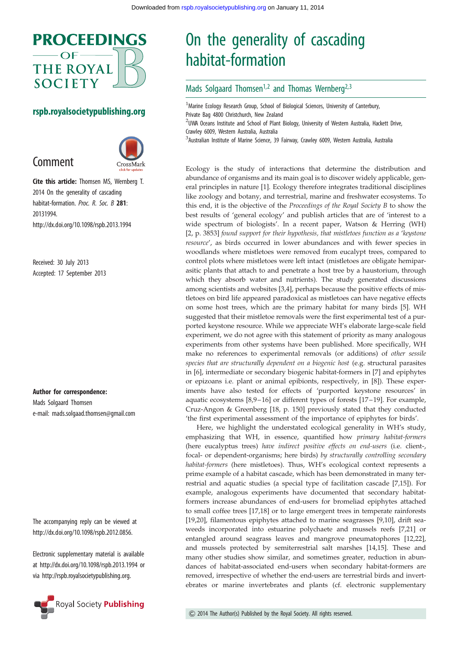

### rspb.royalsocietypublishing.org





Cite this article: Thomsen MS, Wernberg T. 2014 On the generality of cascading habitat-formation. Proc. R. Soc. B 281: 20131994. http://dx.doi.org/10.1098/rspb.2013.1994

Received: 30 July 2013 Accepted: 17 September 2013

Author for correspondence: Mads Solgaard Thomsen e-mail: [mads.solgaad.thomsen@gmail.com](mailto:mads.solgaad.thomsen@gmail.com)

The accompanying reply can be viewed at [http://dx.doi.org/10.1098/rspb.2012.0856.](http://dx.doi.org/10.1098/rspb.2012.0856)

[Electronic supplementary material is available](http://dx.doi.org/10.1098/rspb.2012.0856) [at http:](http://dx.doi.org/10.1098/rspb.2013.1994)[//dx.doi.org/10.1098/rspb.2013.1994 or](http://dx.doi.org/10.1098/rspb.2012.0856) [via http:](http://rspb.royalsocietypublishing.org)[//rspb.royalsocietypublishing.org.](http://dx.doi.org/10.1098/rspb.2012.0856)



# On the generality of cascading habitat-formation

#### Mads Solgaard Thomsen<sup>1,2</sup> and Thomas Wernberg<sup>2,3</sup>

<sup>1</sup> Marine Ecology Research Group, School of Biological Sciences, University of Canterbury, Private Bag 4800 Christchurch, New Zealand <sup>2</sup>UWA Oceans Institute and School of Plant Biology, University of Western Australia, Hackett Drive,

Crawley 6009, Western Australia, Australia

3 Australian Institute of Marine Science, 39 Fairway, Crawley 6009, Western Australia, Australia

Ecology is the study of interactions that determine the distribution and abundance of organisms and its main goal is to discover widely applicable, general principles in nature [\[1\]](#page-2-0). Ecology therefore integrates traditional disciplines like zoology and botany, and terrestrial, marine and freshwater ecosystems. To this end, it is the objective of the Proceedings of the Royal Society B to show the best results of 'general ecology' and publish articles that are of 'interest to a wide spectrum of biologists'. In a recent paper, Watson & Herring (WH) [[2](#page-2-0), p. 3853] found support for their hypothesis, that mistletoes function as a 'keystone resource', as birds occurred in lower abundances and with fewer species in woodlands where mistletoes were removed from eucalypt trees, compared to control plots where mistletoes were left intact (mistletoes are obligate hemiparasitic plants that attach to and penetrate a host tree by a haustorium, through which they absorb water and nutrients). The study generated discussions among scientists and websites [\[3,4\]](#page-2-0), perhaps because the positive effects of mistletoes on bird life appeared paradoxical as mistletoes can have negative effects on some host trees, which are the primary habitat for many birds [[5](#page-2-0)]. WH suggested that their mistletoe removals were the first experimental test of a purported keystone resource. While we appreciate WH's elaborate large-scale field experiment, we do not agree with this statement of priority as many analogous experiments from other systems have been published. More specifically, WH make no references to experimental removals (or additions) of other sessile species that are structurally dependent on a biogenic host (e.g. structural parasites in [\[6\]](#page-2-0), intermediate or secondary biogenic habitat-formers in [\[7\]](#page-2-0) and epiphytes or epizoans i.e. plant or animal epibionts, respectively, in [[8](#page-2-0)]). These experiments have also tested for effects of 'purported keystone resources' in aquatic ecosystems [\[8,9](#page-2-0)–[16\]](#page-3-0) or different types of forests [[17](#page-3-0) –[19](#page-3-0)]. For example, Cruz-Angon & Greenberg [[18,](#page-3-0) p. 150] previously stated that they conducted 'the first experimental assessment of the importance of epiphytes for birds'.

Here, we highlight the understated ecological generality in WH's study, emphasizing that WH, in essence, quantified how primary habitat-formers (here eucalyptus trees) have indirect positive effects on end-users (i.e. client-, focal- or dependent-organisms; here birds) by structurally controlling secondary habitat-formers (here mistletoes). Thus, WH's ecological context represents a prime example of a habitat cascade, which has been demonstrated in many terrestrial and aquatic studies (a special type of facilitation cascade [[7](#page-2-0),[15\]](#page-3-0)). For example, analogous experiments have documented that secondary habitatformers increase abundances of end-users for bromeliad epiphytes attached to small coffee trees [\[17](#page-3-0),[18\]](#page-3-0) or to large emergent trees in temperate rainforests [[19,20](#page-3-0)], filamentous epiphytes attached to marine seagrasses [[9](#page-2-0),[10\]](#page-2-0), drift seaweeds incorporated into estuarine polychaete and mussels reefs [\[7](#page-2-0)[,21](#page-3-0)] or entangled around seagrass leaves and mangrove pneumatophores [\[12](#page-2-0),[22\]](#page-3-0), and mussels protected by semiterrestrial salt marshes [\[14](#page-3-0),[15\]](#page-3-0). These and many other studies show similar, and sometimes greater, reduction in abundances of habitat-associated end-users when secondary habitat-formers are removed, irrespective of whether the end-users are terrestrial birds and invertebrates or marine invertebrates and plants (cf. electronic supplementary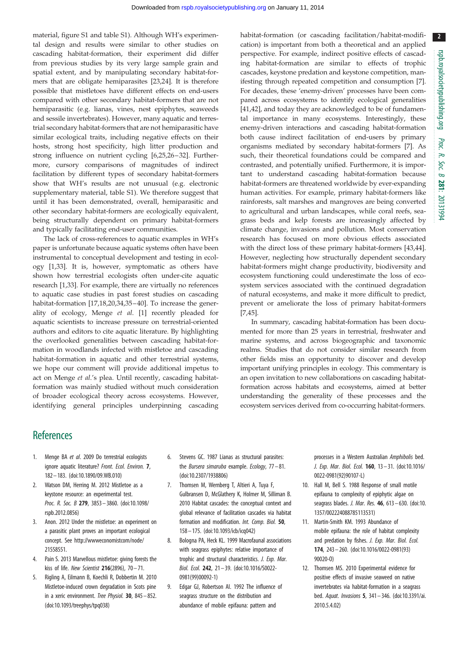<span id="page-2-0"></span>material, figure S1 and table S1). Although WH's experimental design and results were similar to other studies on cascading habitat-formation, their experiment did differ from previous studies by its very large sample grain and spatial extent, and by manipulating secondary habitat-formers that are obligate hemiparasites [\[23](#page-3-0),[24\]](#page-3-0). It is therefore possible that mistletoes have different effects on end-users compared with other secondary habitat-formers that are not hemiparasitic (e.g. lianas, vines, nest epiphytes, seaweeds and sessile invertebrates). However, many aquatic and terrestrial secondary habitat-formers that are not hemiparasitic have similar ecological traits, including negative effects on their hosts, strong host specificity, high litter production and strong influence on nutrient cycling [6,[25,26](#page-3-0)– [32](#page-3-0)]. Furthermore, cursory comparisons of magnitudes of indirect facilitation by different types of secondary habitat-formers show that WH's results are not unusual (e.g. electronic supplementary material, table S1). We therefore suggest that until it has been demonstrated, overall, hemiparasitic and other secondary habitat-formers are ecologically equivalent, being structurally dependent on primary habitat-formers and typically facilitating end-user communities.

The lack of cross-references to aquatic examples in WH's paper is unfortunate because aquatic systems often have been instrumental to conceptual development and testing in ecology [1[,33](#page-3-0)]. It is, however, symptomatic as others have shown how terrestrial ecologists often under-cite aquatic research [1[,33](#page-3-0)]. For example, there are virtually no references to aquatic case studies in past forest studies on cascading habitat-formation [[17,18,20,34](#page-3-0),[35](#page-3-0)-[40\]](#page-3-0). To increase the generality of ecology, Menge et al. [1] recently pleaded for aquatic scientists to increase pressure on terrestrial-oriented authors and editors to cite aquatic literature. By highlighting the overlooked generalities between cascading habitat-formation in woodlands infected with mistletoe and cascading habitat-formation in aquatic and other terrestrial systems, we hope our comment will provide additional impetus to act on Menge et al.'s plea. Until recently, cascading habitatformation was mainly studied without much consideration of broader ecological theory across ecosystems. However, identifying general principles underpinning cascading habitat-formation (or cascading facilitation/habitat-modification) is important from both a theoretical and an applied perspective. For example, indirect positive effects of cascading habitat-formation are similar to effects of trophic cascades, keystone predation and keystone competition, manifesting through repeated competition and consumption [7]. For decades, these 'enemy-driven' processes have been compared across ecosystems to identify ecological generalities [[41,42\]](#page-3-0), and today they are acknowledged to be of fundamental importance in many ecosystems. Interestingly, these enemy-driven interactions and cascading habitat-formation both cause indirect facilitation of end-users by primary organisms mediated by secondary habitat-formers [7]. As such, their theoretical foundations could be compared and contrasted, and potentially unified. Furthermore, it is important to understand cascading habitat-formation because habitat-formers are threatened worldwide by ever-expanding human activities. For example, primary habitat-formers like rainforests, salt marshes and mangroves are being converted to agricultural and urban landscapes, while coral reefs, seagrass beds and kelp forests are increasingly affected by climate change, invasions and pollution. Most conservation research has focused on more obvious effects associated with the direct loss of these primary habitat-formers [\[43](#page-3-0),[44\]](#page-3-0). However, neglecting how structurally dependent secondary habitat-formers might change productivity, biodiversity and ecosystem functioning could underestimate the loss of ecosystem services associated with the continued degradation of natural ecosystems, and make it more difficult to predict, prevent or ameliorate the loss of primary habitat-formers [7[,45](#page-3-0)].

In summary, cascading habitat-formation has been documented for more than 25 years in terrestrial, freshwater and marine systems, and across biogeographic and taxonomic realms. Studies that do not consider similar research from other fields miss an opportunity to discover and develop important unifying principles in ecology. This commentary is an open invitation to new collaborations on cascading habitatformation across habitats and ecosystems, aimed at better understanding the generality of these processes and the ecosystem services derived from co-occurring habitat-formers.

### **References**

- 1. Menge BA et al. 2009 Do terrestrial ecologists ignore aquatic literature? Front. Ecol. Environ. 7, 182– 183. ([doi:10.1890/09.WB.010\)](http://dx.doi.org/10.1890/09.WB.010)
- 2. Watson DM, Herring M. 2012 Mistletoe as a keystone resource: an experimental test. Proc. R. Soc. B 279, 3853 – 3860. ([doi:10.1098/](http://dx.doi.org/10.1098/rspb.2012.0856) [rspb.2012.0856](http://dx.doi.org/10.1098/rspb.2012.0856))
- 3. Anon. 2012 Under the mistletoe: an experiment on a parasitic plant proves an important ecological concept. See [http://wwweconomistcom/node/](http://wwweconomistcom/node/21558551) [21558551](http://wwweconomistcom/node/21558551).
- 4. Pain S. 2013 Marvellous mistletoe: giving forests the kiss of life. New Scientist  $216(2896)$ , 70 - 71.
- 5. Rigling A, Eilmann B, Koechli R, Dobbertin M. 2010 Mistletoe-induced crown degradation in Scots pine in a xeric environment. Tree Physiol. 30, 845– 852. [\(doi:10.1093/treephys/tpq038\)](http://dx.doi.org/10.1093/treephys/tpq038)
- 6. Stevens GC. 1987 Lianas as structural parasites: the Bursera simaruba example. Ecology, 77 – 81. [\(doi:10.2307/1938806](http://dx.doi.org/10.2307/1938806))
- 7. Thomsen M, Wernberg T, Altieri A, Tuya F, Gulbransen D, McGlathery K, Holmer M, Silliman B. 2010 Habitat cascades: the conceptual context and global relevance of facilitation cascades via habitat formation and modification. Int. Comp. Biol. 50, 158 – 175. [\(doi:10.1093/icb/icq042](http://dx.doi.org/10.1093/icb/icq042))
- 8. Bologna PA, Heck KL. 1999 Macrofaunal associations with seagrass epiphytes: relative importance of trophic and structural characteristics. J. Exp. Mar. Biol. Ecol. 242, 21 – 39. ([doi:10.1016/S0022-](http://dx.doi.org/10.1016/S0022-0981(99)00092-1) [0981\(99\)00092-1](http://dx.doi.org/10.1016/S0022-0981(99)00092-1))
- 9. Edgar GJ, Robertson AI. 1992 The influence of seagrass structure on the distribution and abundance of mobile epifauna: pattern and

processes in a Western Australian Amphibolis bed. J. Exp. Mar. Biol. Ecol. 160, 13 – 31. ([doi:10.1016/](http://dx.doi.org/10.1016/0022-0981(92)90107-L) [0022-0981\(92\)90107-L\)](http://dx.doi.org/10.1016/0022-0981(92)90107-L)

- 10. Hall M, Bell S. 1988 Response of small motile epifauna to complexity of epiphytic algae on seagrass blades. *J. Mar. Res.* **46**, 613 – 630. [\(doi:10.](http://dx.doi.org/10.1357/002224088785113531) [1357/002224088785113531](http://dx.doi.org/10.1357/002224088785113531))
- 11. Martin-Smith KM. 1993 Abundance of mobile epifauna: the role of habitat complexity and predation by fishes. J. Exp. Mar. Biol. Ecol. 174, 243– 260. [\(doi:10.1016/0022-0981\(93\)](http://dx.doi.org/10.1016/0022-0981(93)90020-O) [90020-O\)](http://dx.doi.org/10.1016/0022-0981(93)90020-O)
- 12. Thomsen MS. 2010 Experimental evidence for positive effects of invasive seaweed on native invertebrates via habitat-formation in a seagrass bed. Aquat. Invasions 5, 341– 346. ([doi:10.3391/ai.](http://dx.doi.org/10.3391/ai.2010.5.4.02) [2010.5.4.02\)](http://dx.doi.org/10.3391/ai.2010.5.4.02)